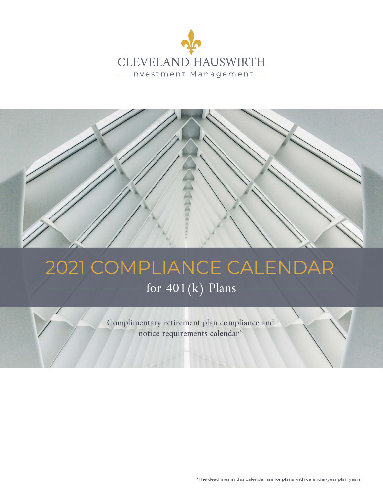



# 2021 COMPLIANCE CALENDAR

# for 401(k) Plans

Complimentary retirement plan compliance and notice requirements calendar\*

\*The deadlines in this calendar are for plans with calendar-year plan years.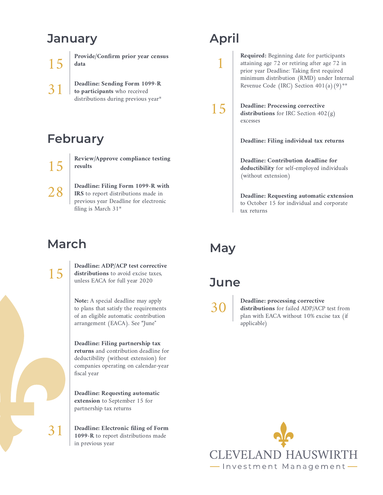# **January**

15 **Provide/Confirm prior year census data**

**Deadline: Sending Form 1099-R to participants** who received distributions during previous year\* 31

# **February**

15

28

**Review/Approve compliance testing results**

**Deadline: Filing Form 1099-R with IRS** to report distributions made in previous year Deadline for electronic filing is March 31\*

# **March**



31

**Deadline: ADP/ACP test corrective distributions** to avoid excise taxes, unless EACA for full year 2020

**Note:** A special deadline may apply to plans that satisfy the requirements of an eligible automatic contribution arrangement (EACA). See "June"

**Deadline: Filing partnership tax returns** and contribution deadline for deductibility (without extension) for companies operating on calendar-year fiscal year

**Deadline: Requesting automatic extension** to September 15 for partnership tax returns

**Deadline: Electronic filing of Form 1099-R** to report distributions made in previous year

# **April**

1

**Required:** Beginning date for participants attaining age 72 or retiring after age 72 in prior year Deadline: Taking first required minimum distribution (RMD) under Internal Revenue Code (IRC) Section  $401(a)(9)$ \*\*



**Deadline: Processing corrective distributions** for IRC Section 402(g) excesses

**Deadline: Filing individual tax returns** 

**Deadline: Contribution deadline for deductibility** for self-employed individuals (without extension)

**Deadline: Requesting automatic extension** to October 15 for individual and corporate tax returns

# **May**

#### **June**

30

#### **Deadline: processing corrective distributions** for failed ADP/ACP test from plan with EACA without 10% excise tax (if applicable)

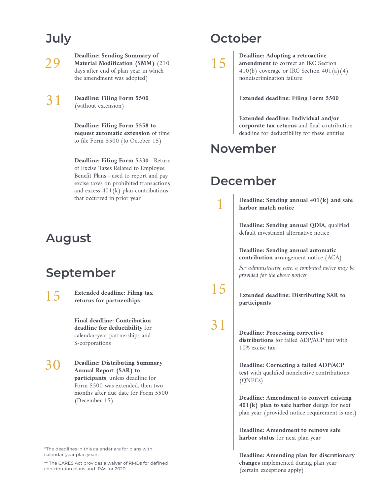# **July**

29

31

**Deadline: Sending Summary of Material Modification (SMM)** (210 days after end of plan year in which the amendment was adopted)

**Deadline: Filing Form 5500** (without extension)

> **Deadline: Filing Form 5558 to request automatic extension** of time to file Form 5500 (to October 15)

**Deadline: Filing Form 5330**—Return of Excise Taxes Related to Employee Benefit Plans—used to report and pay excise taxes on prohibited transactions and excess  $401(k)$  plan contributions that occurred in prior year

# **August**

# **September**

15

**Extended deadline: Filing tax returns for partnerships**

**Final deadline: Contribution deadline for deductibility** for calendar-year partnerships and S-corporations

30

**Deadline: Distributing Summary Annual Report (SAR) to participants**, unless deadline for Form 5500 was extended, then two months after due date for Form 5500 (December 15)

\*The deadlines in this calendar are for plans with calendar-year plan years.

\*\* The CARES Act provides a waiver of RMDs for defined contribution plans and IRAs for 2020.

# **October**

15

**Deadline: Adopting a retroactive amendment** to correct an IRC Section 410(b) coverage or IRC Section  $401(a)(4)$ nondiscrimination failure

**Extended deadline: Filing Form 5500**

**Extended deadline: Individual and/or corporate tax returns** and final contribution deadline for deductibility for these entities

#### **November**

#### **December**

1

15

31

**Deadline: Sending annual 401(k) and safe harbor match notice**

**Deadline: Sending annual QDIA**, qualified default investment alternative notice

**Deadline: Sending annual automatic contribution** arrangement notice (ACA)

*For administrative ease, a combined notice may be provided for the above notices*

**Extended deadline: Distributing SAR to participants**

**Deadline: Processing corrective distributions** for failed ADP/ACP test with 10% excise tax

**Deadline: Correcting a failed ADP/ACP test** with qualified nonelective contributions (QNECs)

**Deadline: Amendment to convert existing 401(k) plan to safe harbor** design for next plan year (provided notice requirement is met)

**Deadline: Amendment to remove safe harbor status** for next plan year

**Deadline: Amending plan for discretionary changes** implemented during plan year (certain exceptions apply)